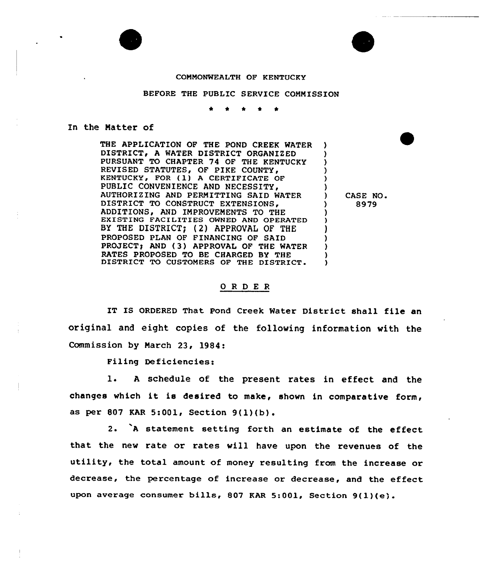#### COMMONWEALTH OF KENTUCKY

#### BEFORE THE PUBLIC SERVICE COMMISSION

#### In the Matter of

THE APPLICATION OF THE POND CREEK WATER DISTRICT, A WATER DISTRICT ORGANIZED PURSUANT TO CHAPTER 74 OF THE KENTUCKY REVISED STATUTES, OF PIKE COUNTY, KENTUCKY, FOR (1) A CERTIFICATE OF PUBLIC CONVENIENCE AND NECESSITY, AUTHORIZING AND PERMITTING SAID WATER DISTRICT TO CONSTRUCT EXTENSIONS, ADDITIONS, AND IMPROVEMENTS TO THE EXISTING FACILITIES OWNED AND OPERATED BY THE DISTRICT; (2) APPROVAL OF THE PROPOSED PLAN OF FINANCING OF SAID PROJECT) AND (3) APPROVAL OF THE WATER RATES PROPOSED TO BE CHARGED BY THE DISTRICT TO CUSTOMERS OF THE DISTRICT. ) ) ) ) ) ) ) ) ) ) ) ) )

) CASE NO <sup>~</sup> ) 8979

## ORDER

IT IS ORDERED That Pond Creek Water District shall file an original and eight copies of the following information with the Commission by March 23, 1984:

Filing Deficiencies:

1. A schedule of the present rates in effect and the changes which it is desired to make, shown in comparative form, as per <sup>807</sup> KAR 5:001, Section 9(l)(b).

2. <sup>A</sup> statement setting forth an estimate of the effeet that the new rate or rates will have upon the revenues of the utility, the total amount of money resulting from the increase or decrease, the percentage of increase or decrease, and the effeet upon average consumer bills, <sup>807</sup> KAR 5:001, Section 9(1)(e).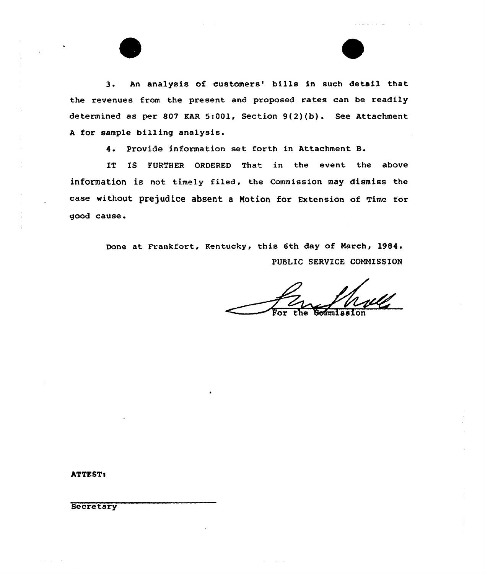3. An analysis of customers' bills in such detail that the revenues from the present and proposed rates can be readily determined as per 807 KAR 5:001, Section 9(2)(b). See Attachment <sup>A</sup> for sample billing analysis.

4. Provide information set forth in Attachment B.

IT IS FURTHER ORDERED That in the event the above information is not timely filed, the Commission may dismiss the case without prejudice absent a Motion for Extension of Time for good cause <sup>~</sup>

> Done at Frankfort, Kentucky, this 6th day of March, 1984. PUBLIC SERVICE COMMISSION

المستحدث والمستوعد

ATTEST:

 $\frac{1}{2}$ 

**Secretary**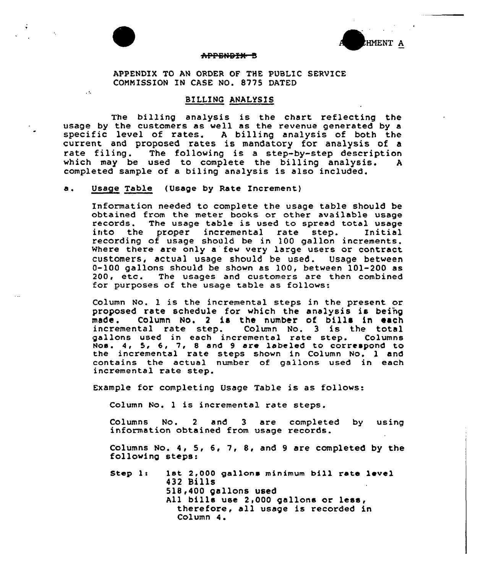

 $\sim 1$ 



# <del>appendix B</del>

APPENDIX TO AN ORDER OF THE PUBLIC SERVICE COMMISSION IN CASE NO. S775 DATED

## BILLING ANALYSIS

The billing analysis is the chart reflecting the usage by the customers as well as the revenue generated by a specific level of rates. <sup>A</sup> billing analysis of both the current and proposed rates is mandatory for analysis of a<br>rate filing. The following is a step-by-step description The following is a step-by-step description which may be used to complete the billing analysis. <sup>A</sup> completed sample of a biling analysis is also included.

## a. Usage Table (Usage by Rate Increment)

Information needed to complete the usage table should be obtained from the meter books or other available usage records. The usage table is used to spread total usage into the proper incremental rate step. Initial the proper incremental rate step. recording of usage should be in 100 gallon increments. Where there are only a few very large users or contract customers, actual usage should be used. Usage between 0-100 gallons should be shown as 100, between 101-200 as 200, etc. The usages and customers are then combined for purposes of the usage table as follows:

Column No. <sup>1</sup> is the incremental steps in the present or proposed rate schedule for which the analysis is being<br>made. Column No. 2 is the number of bills in each Column No. 2 is the number of bills in each incremental rate step. Column No. 3 is the total gallons used in each incremental rate step. Column Noe. 4, 5, 6, 7, <sup>8</sup> and 9 are labeled to correspond to the incremental rate steps shown in Column No. 1 and contains the actual number of gallons used in each incremental rate step.

Example for completing Usage Table is as follows:

Column No. <sup>1</sup> is incremental rate steps.

Columns No. <sup>2</sup> and 3 are completed by using information obtained from usage records.

Columns No. 4, 5, 6, 7, 8, and <sup>9</sup> are completed by the following steps:

Step 1: 1st 2,000 gallons minimum bill rate level 432 Bills 51B,400 gallons used All bills use 2,000 gallons or less, therefore, all usage is recorded in Column 4.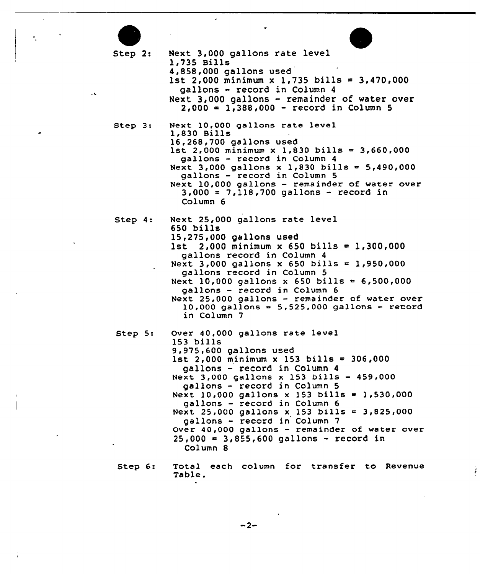Step 2: Next 3,000 gallons rate level 1,735 Bills 4,858,000 gallons used 1st 2,000 minimum x 1,735 bills = 3,470,000 gallons - record in Column <sup>4</sup> Next 3,000 gallons - remainder of water over  $2,000 = 1,388,000 - record in Column 5$ Step 3: Next 10,000 gallons rate level 1,830 Bills<br>16,268,700 gallons used 1st 2,000 minimum x 1,830 bills = 3,660,000 gallons — record in Column <sup>4</sup> Next 3,000 gallons x 1,830 bills =  $5,490,000$ gallons — record in Column 5 Next 10,000 gallons — remainder of water over 3,000 <sup>=</sup> 7,118,700 gallons — record in Column 6 Next 25,000 gallons rate level Step 4: 650 bills 15,275,000 gallons used 1st 2,000 minimum x 650 bills = 1,300,000 gallons record in Column <sup>4</sup> Next 3,000 gallons x 650 bills = 1,950,000 gallons record in Column 5 Next 10,000 gallons x 650 bills =  $6,500,000$  $q$ allons - record in Column  $6$ Next  $25,000$  gallons - remainder of water over 10,000 gallons <sup>=</sup> 5, 525, 000 gallons — record in Column 7 Step 5: Over 40,000 gallons rate level 153 bills 9 <975,600 gallons used 1st 2,000 minimum x 153 bills =  $306,000$ gallons — record in Column <sup>4</sup> Next 3,000 gallons x 153 bills =  $459,000$ gallons - record in Column <sup>5</sup> Next 10,000 gallons x 153 bills = 1,530,000 gallons — record in Column <sup>6</sup> Next 25,000 gallons x 153 bills =  $3,825,000$ gallons - record in Column <sup>7</sup> Over 40,000 gallons — remainder of water over  $25,000 = 3,855,600$  gallons - record in Column 8 Total each column for transfer to Revenue Step 6:

 $-2-$ 

Table.

 $\ddot{\cdot}$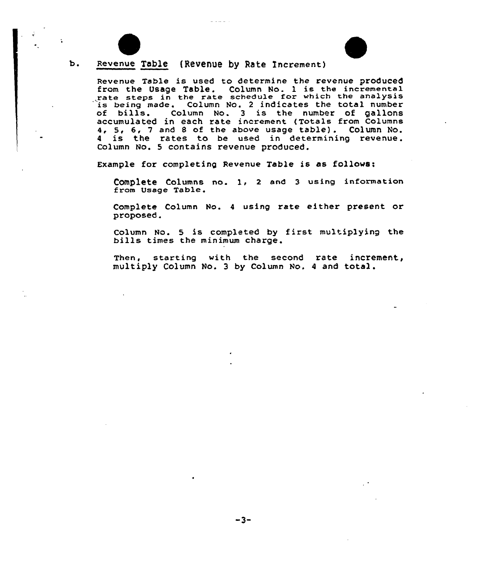

 $\ddot{\bullet}$ 

#### $b.$ Revenue Table (Revenue by Rate Increment)

Revenue Table is used to determine the revenue produced from the Usage Table. Column No. 1 is the incremental rate steps in the rate schedule for which the analysis being made. Column No. 2 indicates the total number is being made. Column No. 2 indicates the total number<br>of bills. Column No. 3 is the number of gallons accumulated in each rate increment <Totals from Columns 4, 5, 6, <sup>7</sup> and <sup>8</sup> of the above usage table). column No. 4, 5, 6, 7 and 8 of the above asage those, cordan no Column No. 5 contains revenue produced.

Example for completing Revenue Table is as follows:

Complete Columns no. 1, 2 and 3 using information from Usage Table.

Complete Column No. <sup>4</sup> using rate either present or proposed.

Column No. <sup>5</sup> is completed by <sup>f</sup>irst multiplying the bills times the minimum charge.

Then, starting with the second rate increment, multiply Column No. <sup>3</sup> by Column No. <sup>4</sup> and total.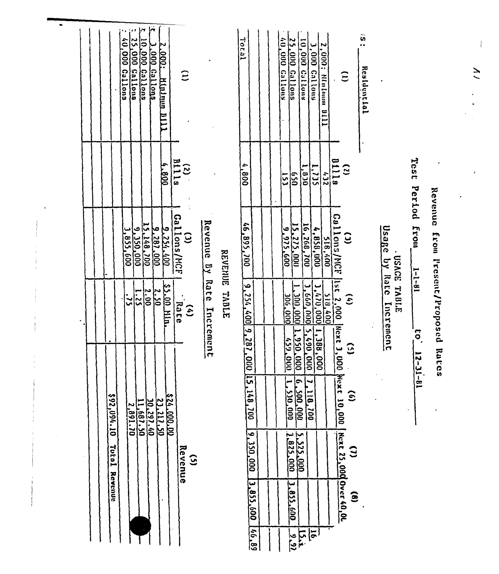| $0.000^{10}$<br>Callons        | نتها<br>25,000 Callons<br>l0.000 Callens<br><b>2.000 Gallens</b><br>2.000: Minimulli<br>$\widehat{E}$                                                                                                                                                                                                                                                 |                                            | Total                                                                                                                                 | $\hat{\mathbf{c}}$<br>25,000 Gallons<br>(0,000 Callums<br>3,000 Callous<br>$2,000$ : Manlautan<br>suollen 000'<br>$\hat{E}$<br>1111                                                                                                                                                                                                                                                                                                                                                                                                                                            | $\tilde{\mathbf{6}}$<br>Resldential                                                                                                                                              |
|--------------------------------|-------------------------------------------------------------------------------------------------------------------------------------------------------------------------------------------------------------------------------------------------------------------------------------------------------------------------------------------------------|--------------------------------------------|---------------------------------------------------------------------------------------------------------------------------------------|--------------------------------------------------------------------------------------------------------------------------------------------------------------------------------------------------------------------------------------------------------------------------------------------------------------------------------------------------------------------------------------------------------------------------------------------------------------------------------------------------------------------------------------------------------------------------------|----------------------------------------------------------------------------------------------------------------------------------------------------------------------------------|
|                                | <b>BIIIE</b><br>BIIIE<br>$008 - 1$                                                                                                                                                                                                                                                                                                                    |                                            | 008'                                                                                                                                  | 01118<br>1,735<br>$\mathbf{c}$<br>1,0.00<br>$\sqrt{9}$<br>622<br>153                                                                                                                                                                                                                                                                                                                                                                                                                                                                                                           | Test                                                                                                                                                                             |
| 592,094.10<br>TuiuT<br>Revenue | $\frac{100}{\text{Gal} \mid \text{long}/\text{MCF}}$<br>$\begin{array}{r} 151.48, 700 \\ -0.350, 000 \\ \hline 0.01, 0.00 \\ \hline 0.01, 0.00 \end{array}$<br>00018276<br><b>\$5.00 Mh.</b><br>$\frac{2.00}{1.25}$<br>2.50<br>$\frac{1}{2}$<br>Taate<br>$\hat{\epsilon}$<br>00.000.022<br>21.211.50<br>2,891.70<br>Revenue<br>$\mathbf{\widehat{S}}$ | Revenue By Rate Increment<br>REVENUE TABLE | 002'568'97<br>9, 254, 400 9, 287, 29<br><b>Dio</b><br>$\mathbf{12}$<br>160.<br>$\widetilde{a}$<br>صر<br>350,000<br>3,855,600<br>68'94 | Gallons/MCF<br>$\frac{16.266}{1001}$<br>15, 275, 000<br>9,975,600<br>$\frac{518,400}{4,889,000}$<br>$\tilde{c}$<br>$\frac{1}{155}$ $\frac{2.181}{1000}$<br>$\frac{3,4,70,000}{3,660,000}$<br>000.000.1000<br><b>200,000</b><br>$\hat{\epsilon}$<br>Next 3,000 Mext 10,000<br>00010561<br>1,388.0<br>(59,000)<br>$\tilde{\omega}$<br>$\frac{50}{2}$<br>۴<br>٣<br>200,000<br>118,700<br>530,000<br>$\widehat{\mathbf{e}}$<br>Next 25,000 Over 40,00<br>5,525,000<br>1.825,000<br><u>Э</u><br>3.855.600<br>$\mathbf{\hat{e}}$<br>$\overline{5}$<br>$\frac{1}{2}$<br>$\frac{1}{2}$ | Period from<br>Revenue from Present/Proposed Rates<br>Usage by Rate<br>TIBACE TABLE<br>$1 - 1 - 81$<br>Increment<br>$\overline{\overline{c}}$<br>$\overline{a}$<br>$1 - 11 - 11$ |

 $\overline{2}$